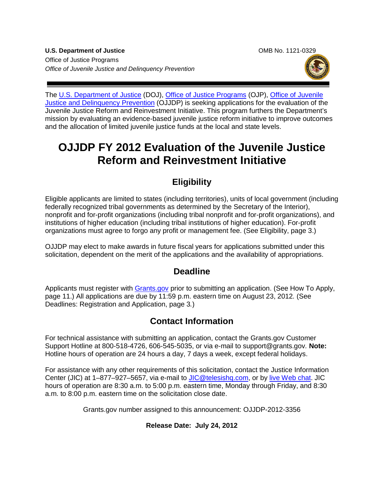**U.S. Department of Justice Combine State Combine Combine Combine Combine Combine Combine Combine Combine Combine Combine Combine Combine Combine Combine Combine Combine Combine Combine Combine Combine Combine Combine Comb** Office of Justice Programs *Office of Juvenile Justice and Delinquency Prevention*





The [U.S. Department of Justice](http://www.justice.gov/) (DOJ), Office [of Justice Programs](http://www.ojp.usdoj.gov/) (OJP), [Office of Juvenile](http://www.ojjdp.gov/)  [Justice and Delinquency Prevention](http://www.ojjdp.gov/) (OJJDP) is seeking applications for the evaluation of the Juvenile Justice Reform and Reinvestment Initiative. This program furthers the Department's mission by evaluating an evidence-based juvenile justice reform initiative to improve outcomes and the allocation of limited juvenile justice funds at the local and state levels.

# **OJJDP FY 2012 Evaluation of the Juvenile Justice Reform and Reinvestment Initiative**

# **Eligibility**

Eligible applicants are limited to states (including territories), units of local government (including federally recognized tribal governments as determined by the Secretary of the Interior), nonprofit and for-profit organizations (including tribal nonprofit and for-profit organizations), and institutions of higher education (including tribal institutions of higher education). For-profit organizations must agree to forgo any profit or management fee. (See Eligibility, page 3.)

OJJDP may elect to make awards in future fiscal years for applications submitted under this solicitation, dependent on the merit of the applications and the availability of appropriations.

### **Deadline**

Applicants must register with [Grants.gov](http://www.grants.gov/) prior to submitting an application. (See How To Apply, page 11.) All applications are due by 11:59 p.m. eastern time on August 23, 2012*.* (See Deadlines: Registration and Application, page 3*.*)

# **Contact Information**

For technical assistance with submitting an application, contact the Grants.gov Customer Support Hotline at 800-518-4726, 606-545-5035, or via e-mail to support@grants.gov*.* **Note:** Hotline hours of operation are 24 hours a day, 7 days a week, except federal holidays.

For assistance with any other requirements of this solicitation, contact the Justice Information Center (JIC) at 1–877–927–5657, via e-mail to [JIC@telesishq.com,](mailto:JIC@telesishq.com) or by [live Web chat.](http://www.justiceinformationcenter.us/) JIC hours of operation are 8:30 a.m. to 5:00 p.m. eastern time, Monday through Friday, and 8:30 a.m. to 8:00 p.m. eastern time on the solicitation close date.

Grants.gov number assigned to this announcement: OJJDP-2012-3356

#### **Release Date: July 24, 2012**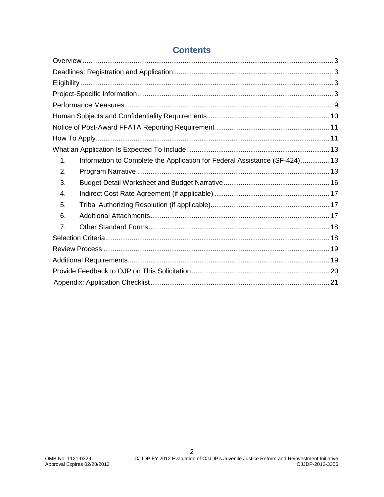| 1. | Information to Complete the Application for Federal Assistance (SF-424) 13 |  |
|----|----------------------------------------------------------------------------|--|
| 2. |                                                                            |  |
| 3. |                                                                            |  |
| 4. |                                                                            |  |
| 5. |                                                                            |  |
| 6. |                                                                            |  |
| 7. |                                                                            |  |
|    |                                                                            |  |
|    |                                                                            |  |
|    |                                                                            |  |
|    |                                                                            |  |
|    |                                                                            |  |

# **Contents**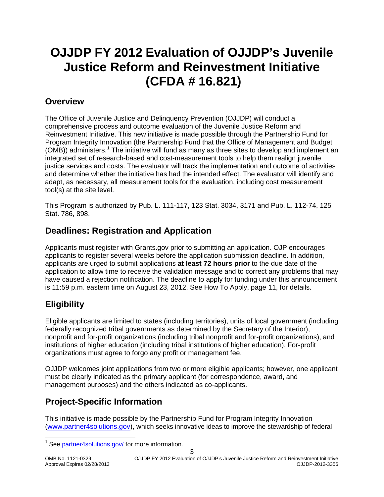# **OJJDP FY 2012 Evaluation of OJJDP's Juvenile Justice Reform and Reinvestment Initiative (CFDA # 16.821)**

### <span id="page-2-0"></span>**Overview**

The Office of Juvenile Justice and Delinquency Prevention (OJJDP) will conduct a comprehensive process and outcome evaluation of the Juvenile Justice Reform and Reinvestment Initiative. This new initiative is made possible through the Partnership Fund for Program Integrity Innovation (the Partnership Fund that the Office of Management and Budget (OMB)) administers.<sup>[1](#page-2-4)</sup> The initiative will fund as many as three sites to develop and implement an integrated set of research-based and cost-measurement tools to help them realign juvenile justice services and costs. The evaluator will track the implementation and outcome of activities and determine whether the initiative has had the intended effect. The evaluator will identify and adapt, as necessary, all measurement tools for the evaluation, including cost measurement tool(s) at the site level.

This Program is authorized by Pub. L. 111-117, 123 Stat. 3034, 3171 and Pub. L. 112-74, 125 Stat. 786, 898.

# <span id="page-2-1"></span>**Deadlines: Registration and Application**

Applicants must register with Grants.gov prior to submitting an application. OJP encourages applicants to register several weeks before the application submission deadline. In addition, applicants are urged to submit applications **at least 72 hours prior** to the due date of the application to allow time to receive the validation message and to correct any problems that may have caused a rejection notification. The deadline to apply for funding under this announcement is 11:59 p.m*.* eastern time on August 23, 2012. See How To Apply, page 11, for details.

# <span id="page-2-2"></span>**Eligibility**

Eligible applicants are limited to states (including territories), units of local government (including federally recognized tribal governments as determined by the Secretary of the Interior), nonprofit and for-profit organizations (including tribal nonprofit and for-profit organizations), and institutions of higher education (including tribal institutions of higher education). For-profit organizations must agree to forgo any profit or management fee.

OJJDP welcomes joint applications from two or more eligible applicants; however, one applicant must be clearly indicated as the primary applicant (for correspondence, award, and management purposes) and the others indicated as co-applicants.

# <span id="page-2-3"></span>**Project-Specific Information**

<span id="page-2-4"></span>This initiative is made possible by the Partnership Fund for Program Integrity Innovation [\(www.partner4solutions.gov\)](http://www.partner4solutions.gov/), which seeks innovative ideas to improve the stewardship of federal

<sup>&</sup>lt;sup>1</sup> See [partner4solutions.gov/](http://partner4solutions.gov/) for more information.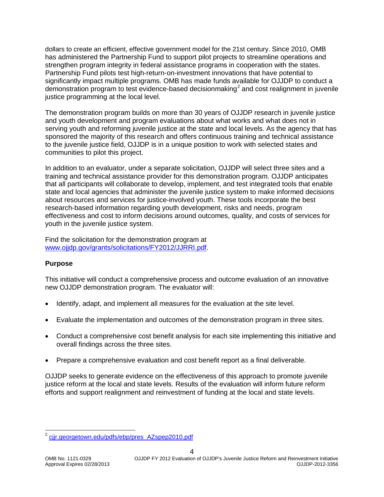dollars to create an efficient, effective government model for the 21st century. Since 2010, OMB has administered the Partnership Fund to support pilot projects to streamline operations and strengthen program integrity in federal assistance programs in cooperation with the states. Partnership Fund pilots test high-return-on-investment innovations that have potential to significantly impact multiple programs. OMB has made funds available for OJJDP to conduct a demonstration program to test evidence-based decisionmaking<sup>[2](#page-3-0)</sup> and cost realignment in juvenile justice programming at the local level.

The demonstration program builds on more than 30 years of OJJDP research in juvenile justice and youth development and program evaluations about what works and what does not in serving youth and reforming juvenile justice at the state and local levels. As the agency that has sponsored the majority of this research and offers continuous training and technical assistance to the juvenile justice field, OJJDP is in a unique position to work with selected states and communities to pilot this project.

In addition to an evaluator, under a separate solicitation, OJJDP will select three sites and a training and technical assistance provider for this demonstration program. OJJDP anticipates that all participants will collaborate to develop, implement, and test integrated tools that enable state and local agencies that administer the juvenile justice system to make informed decisions about resources and services for justice-involved youth. These tools incorporate the best research-based information regarding youth development, risks and needs, program effectiveness and cost to inform decisions around outcomes, quality, and costs of services for youth in the juvenile justice system.

Find the solicitation for the demonstration program at [www.ojjdp.gov/grants/solicitations/FY2012/JJRRI.pdf.](http://www.ojjdp.gov/grants/solicitations/FY2012/JJRRI.pdf)

#### **Purpose**

This initiative will conduct a comprehensive process and outcome evaluation of an innovative new OJJDP demonstration program. The evaluator will:

- Identify, adapt, and implement all measures for the evaluation at the site level.
- Evaluate the implementation and outcomes of the demonstration program in three sites.
- Conduct a comprehensive cost benefit analysis for each site implementing this initiative and overall findings across the three sites.
- Prepare a comprehensive evaluation and cost benefit report as a final deliverable.

OJJDP seeks to generate evidence on the effectiveness of this approach to promote juvenile justice reform at the local and state levels. Results of the evaluation will inform future reform efforts and support realignment and reinvestment of funding at the local and state levels.

<span id="page-3-0"></span>ciir.georgetown.edu/pdfs/ebp/pres\_AZspep2010.pdf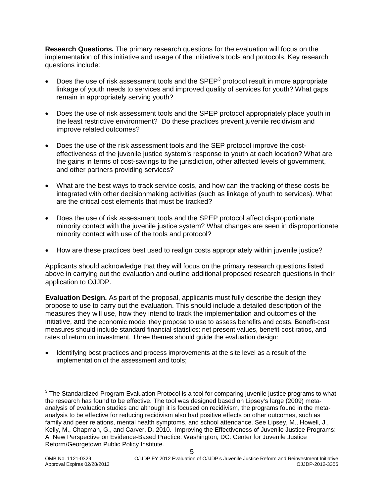**Research Questions.** The primary research questions for the evaluation will focus on the implementation of this initiative and usage of the initiative's tools and protocols. Key research questions include:

- Does the use of risk assessment tools and the SPEP<sup>[3](#page-4-0)</sup> protocol result in more appropriate linkage of youth needs to services and improved quality of services for youth? What gaps remain in appropriately serving youth?
- Does the use of risk assessment tools and the SPEP protocol appropriately place youth in the least restrictive environment? Do these practices prevent juvenile recidivism and improve related outcomes?
- Does the use of the risk assessment tools and the SEP protocol improve the costeffectiveness of the juvenile justice system's response to youth at each location? What are the gains in terms of cost-savings to the jurisdiction, other affected levels of government, and other partners providing services?
- What are the best ways to track service costs, and how can the tracking of these costs be integrated with other decisionmaking activities (such as linkage of youth to services). What are the critical cost elements that must be tracked?
- Does the use of risk assessment tools and the SPEP protocol affect disproportionate minority contact with the juvenile justice system? What changes are seen in disproportionate minority contact with use of the tools and protocol?
- How are these practices best used to realign costs appropriately within juvenile justice?

Applicants should acknowledge that they will focus on the primary research questions listed above in carrying out the evaluation and outline additional proposed research questions in their application to OJJDP.

**Evaluation Design.** As part of the proposal, applicants must fully describe the design they propose to use to carry out the evaluation. This should include a detailed description of the measures they will use, how they intend to track the implementation and outcomes of the initiative, and the economic model they propose to use to assess benefits and costs. Benefit-cost measures should include standard financial statistics: net present values, benefit-cost ratios, and rates of return on investment. Three themes should guide the evaluation design:

• Identifying best practices and process improvements at the site level as a result of the implementation of the assessment and tools;

<span id="page-4-0"></span><sup>&</sup>lt;sup>3</sup> The Standardized Program Evaluation Protocol is a tool for comparing juvenile justice programs to what the research has found to be effective. The tool was designed based on Lipsey's large (2009) metaanalysis of evaluation studies and although it is focused on recidivism, the programs found in the metaanalysis to be effective for reducing recidivism also had positive effects on other outcomes, such as family and peer relations, mental health symptoms, and school attendance. See Lipsey, M., Howell, J., Kelly, M., Chapman, G., and Carver, D. 2010. Improving the Effectiveness of Juvenile Justice Programs: A New Perspective on Evidence-Based Practice. Washington, DC: Center for Juvenile Justice Reform/Georgetown Public Policy Institute.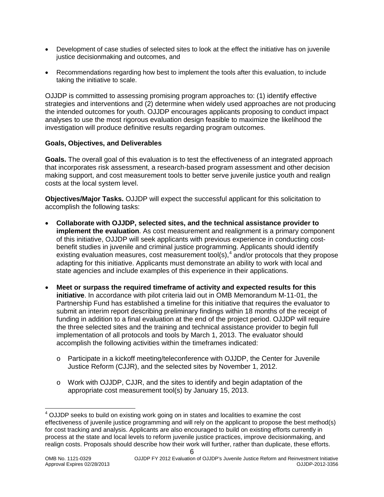- Development of case studies of selected sites to look at the effect the initiative has on juvenile justice decisionmaking and outcomes, and
- Recommendations regarding how best to implement the tools after this evaluation, to include taking the initiative to scale.

OJJDP is committed to assessing promising program approaches to: (1) identify effective strategies and interventions and (2) determine when widely used approaches are not producing the intended outcomes for youth. OJJDP encourages applicants proposing to conduct impact analyses to use the most rigorous evaluation design feasible to maximize the likelihood the investigation will produce definitive results regarding program outcomes.

#### **Goals, Objectives, and Deliverables**

**Goals.** The overall goal of this evaluation is to test the effectiveness of an integrated approach that incorporates risk assessment, a research-based program assessment and other decision making support, and cost measurement tools to better serve juvenile justice youth and realign costs at the local system level.

**Objectives/Major Tasks.** OJJDP will expect the successful applicant for this solicitation to accomplish the following tasks:

- **Collaborate with OJJDP, selected sites, and the technical assistance provider to implement the evaluation**. As cost measurement and realignment is a primary component of this initiative, OJJDP will seek applicants with previous experience in conducting costbenefit studies in juvenile and criminal justice programming. Applicants should identify existing evaluation measures, cost measurement tool(s),<sup>[4](#page-5-0)</sup> and/or protocols that they propose adapting for this initiative. Applicants must demonstrate an ability to work with local and state agencies and include examples of this experience in their applications.
- **Meet or surpass the required timeframe of activity and expected results for this initiative**. In accordance with pilot criteria laid out in OMB Memorandum M-11-01, the Partnership Fund has established a timeline for this initiative that requires the evaluator to submit an interim report describing preliminary findings within 18 months of the receipt of funding in addition to a final evaluation at the end of the project period. OJJDP will require the three selected sites and the training and technical assistance provider to begin full implementation of all protocols and tools by March 1, 2013. The evaluator should accomplish the following activities within the timeframes indicated:
	- o Participate in a kickoff meeting/teleconference with OJJDP, the Center for Juvenile Justice Reform (CJJR), and the selected sites by November 1, 2012.
	- o Work with OJJDP, CJJR, and the sites to identify and begin adaptation of the appropriate cost measurement tool(s) by January 15, 2013.

<span id="page-5-0"></span> $<sup>4</sup>$  OJJDP seeks to build on existing work going on in states and localities to examine the cost</sup> effectiveness of juvenile justice programming and will rely on the applicant to propose the best method(s) for cost tracking and analysis. Applicants are also encouraged to build on existing efforts currently in process at the state and local levels to reform juvenile justice practices, improve decisionmaking, and realign costs. Proposals should describe how their work will further, rather than duplicate, these efforts.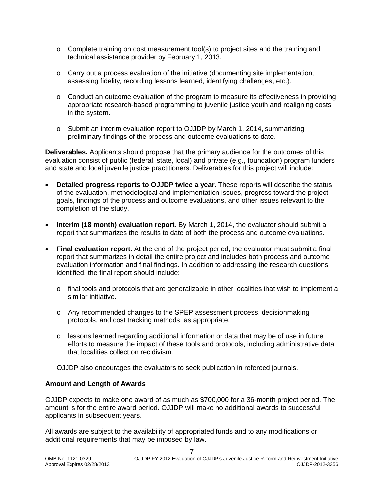- $\circ$  Complete training on cost measurement tool(s) to project sites and the training and technical assistance provider by February 1, 2013.
- o Carry out a process evaluation of the initiative (documenting site implementation, assessing fidelity, recording lessons learned, identifying challenges, etc.).
- $\circ$  Conduct an outcome evaluation of the program to measure its effectiveness in providing appropriate research-based programming to juvenile justice youth and realigning costs in the system.
- o Submit an interim evaluation report to OJJDP by March 1, 2014, summarizing preliminary findings of the process and outcome evaluations to date.

**Deliverables.** Applicants should propose that the primary audience for the outcomes of this evaluation consist of public (federal, state, local) and private (e.g., foundation) program funders and state and local juvenile justice practitioners. Deliverables for this project will include:

- **Detailed progress reports to OJJDP twice a year.** These reports will describe the status of the evaluation, methodological and implementation issues, progress toward the project goals, findings of the process and outcome evaluations, and other issues relevant to the completion of the study.
- **Interim (18 month) evaluation report.** By March 1, 2014, the evaluator should submit a report that summarizes the results to date of both the process and outcome evaluations.
- **Final evaluation report.** At the end of the project period, the evaluator must submit a final report that summarizes in detail the entire project and includes both process and outcome evaluation information and final findings. In addition to addressing the research questions identified, the final report should include:
	- $\circ$  final tools and protocols that are generalizable in other localities that wish to implement a similar initiative.
	- o Any recommended changes to the SPEP assessment process, decisionmaking protocols, and cost tracking methods, as appropriate.
	- o lessons learned regarding additional information or data that may be of use in future efforts to measure the impact of these tools and protocols, including administrative data that localities collect on recidivism.

OJJDP also encourages the evaluators to seek publication in refereed journals.

#### **Amount and Length of Awards**

OJJDP expects to make one award of as much as \$700,000 for a 36-month project period. The amount is for the entire award period. OJJDP will make no additional awards to successful applicants in subsequent years.

All awards are subject to the availability of appropriated funds and to any modifications or additional requirements that may be imposed by law.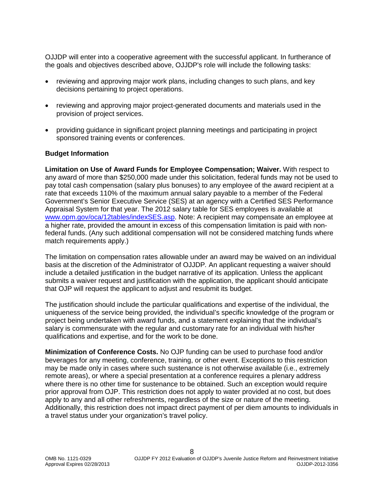OJJDP will enter into a cooperative agreement with the successful applicant. In furtherance of the goals and objectives described above, OJJDP's role will include the following tasks:

- reviewing and approving major work plans, including changes to such plans, and key decisions pertaining to project operations.
- reviewing and approving major project-generated documents and materials used in the provision of project services.
- providing guidance in significant project planning meetings and participating in project sponsored training events or conferences.

#### **Budget Information**

**Limitation on Use of Award Funds for Employee Compensation; Waiver.** With respect to any award of more than \$250,000 made under this solicitation, federal funds may not be used to pay total cash compensation (salary plus bonuses) to any employee of the award recipient at a rate that exceeds 110% of the maximum annual salary payable to a member of the Federal Government's Senior Executive Service (SES) at an agency with a Certified SES Performance Appraisal System for that year. The 2012 salary table for SES employees is available at [www.opm.gov/oca/12tables/indexSES.asp.](http://www.opm.gov/oca/12tables/indexSES.asp) Note: A recipient may compensate an employee at a higher rate, provided the amount in excess of this compensation limitation is paid with nonfederal funds. (Any such additional compensation will not be considered matching funds where match requirements apply.)

The limitation on compensation rates allowable under an award may be waived on an individual basis at the discretion of the Administrator of OJJDP*.* An applicant requesting a waiver should include a detailed justification in the budget narrative of its application. Unless the applicant submits a waiver request and justification with the application, the applicant should anticipate that OJP will request the applicant to adjust and resubmit its budget.

The justification should include the particular qualifications and expertise of the individual, the uniqueness of the service being provided, the individual's specific knowledge of the program or project being undertaken with award funds, and a statement explaining that the individual's salary is commensurate with the regular and customary rate for an individual with his/her qualifications and expertise, and for the work to be done.

**Minimization of Conference Costs.** No OJP funding can be used to purchase food and/or beverages for any meeting, conference, training, or other event. Exceptions to this restriction may be made only in cases where such sustenance is not otherwise available (i.e., extremely remote areas), or where a special presentation at a conference requires a plenary address where there is no other time for sustenance to be obtained. Such an exception would require prior approval from OJP. This restriction does not apply to water provided at no cost, but does apply to any and all other refreshments, regardless of the size or nature of the meeting. Additionally, this restriction does not impact direct payment of per diem amounts to individuals in a travel status under your organization's travel policy.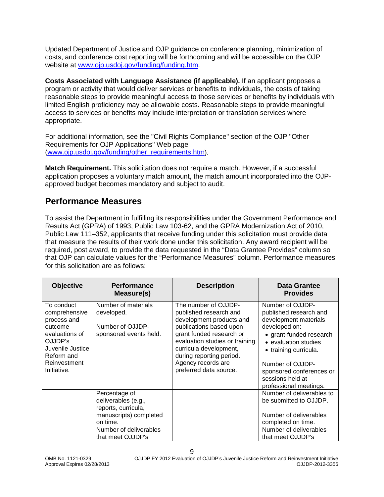Updated Department of Justice and OJP guidance on conference planning, minimization of costs, and conference cost reporting will be forthcoming and will be accessible on the OJP website at [www.ojp.usdoj.gov/funding/funding.htm.](http://www.ojp.usdoj.gov/funding/funding.htm)

**Costs Associated with Language Assistance (if applicable).** If an applicant proposes a program or activity that would deliver services or benefits to individuals, the costs of taking reasonable steps to provide meaningful access to those services or benefits by individuals with limited English proficiency may be allowable costs. Reasonable steps to provide meaningful access to services or benefits may include interpretation or translation services where appropriate.

For additional information, see the "Civil Rights Compliance" section of the OJP "Other Requirements for OJP Applications" Web page [\(www.ojp.usdoj.gov/funding/other\\_requirements.htm\)](http://www.ojp.usdoj.gov/funding/other_requirements.htm).

**Match Requirement.** This solicitation does not require a match. However, if a successful application proposes a voluntary match amount, the match amount incorporated into the OJPapproved budget becomes mandatory and subject to audit.

### <span id="page-8-0"></span>**Performance Measures**

To assist the Department in fulfilling its responsibilities under the Government Performance and Results Act (GPRA) of 1993, Public Law 103-62, and the GPRA Modernization Act of 2010, Public Law 111–352, applicants that receive funding under this solicitation must provide data that measure the results of their work done under this solicitation. Any award recipient will be required, post award, to provide the data requested in the "Data Grantee Provides" column so that OJP can calculate values for the "Performance Measures" column. Performance measures for this solicitation are as follows:

| <b>Objective</b>                                                                                                                                    | <b>Performance</b><br>Measure(s)                                                                  | <b>Description</b>                                                                                                                                                                                                                                                        | Data Grantee<br><b>Provides</b>                                                                                                                                                                                                                                |
|-----------------------------------------------------------------------------------------------------------------------------------------------------|---------------------------------------------------------------------------------------------------|---------------------------------------------------------------------------------------------------------------------------------------------------------------------------------------------------------------------------------------------------------------------------|----------------------------------------------------------------------------------------------------------------------------------------------------------------------------------------------------------------------------------------------------------------|
| To conduct<br>comprehensive<br>process and<br>outcome<br>evaluations of<br>OJJDP's<br>Juvenile Justice<br>Reform and<br>Reinvestment<br>Initiative. | Number of materials<br>developed.<br>Number of OJJDP-<br>sponsored events held.                   | The number of OJJDP-<br>published research and<br>development products and<br>publications based upon<br>grant funded research or<br>evaluation studies or training<br>curricula development,<br>during reporting period.<br>Agency records are<br>preferred data source. | Number of OJJDP-<br>published research and<br>development materials<br>developed on:<br>• grant-funded research<br>• evaluation studies<br>• training curricula.<br>Number of OJJDP-<br>sponsored conferences or<br>sessions held at<br>professional meetings. |
|                                                                                                                                                     | Percentage of<br>deliverables (e.g.,<br>reports, curricula,<br>manuscripts) completed<br>on time. |                                                                                                                                                                                                                                                                           | Number of deliverables to<br>be submitted to OJJDP.<br>Number of deliverables<br>completed on time.                                                                                                                                                            |
|                                                                                                                                                     | Number of deliverables<br>that meet OJJDP's                                                       |                                                                                                                                                                                                                                                                           | Number of deliverables<br>that meet OJJDP's                                                                                                                                                                                                                    |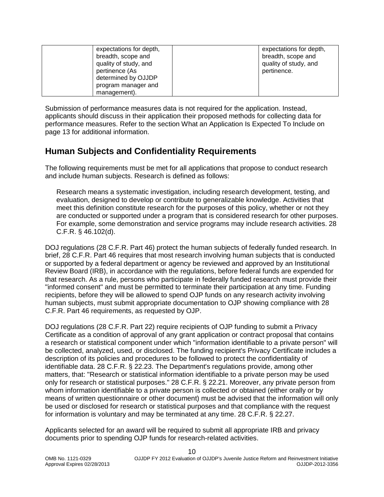| expectations for depth, | expectations for depth, |
|-------------------------|-------------------------|
| breadth, scope and      | breadth, scope and      |
| quality of study, and   | quality of study, and   |
| pertinence (As          | pertinence.             |
| determined by OJJDP     |                         |
| program manager and     |                         |
| management).            |                         |

Submission of performance measures data is not required for the application. Instead, applicants should discuss in their application their proposed methods for collecting data for performance measures. Refer to the section What an Application Is Expected To Include on page 13 for additional information.

### <span id="page-9-0"></span>**Human Subjects and Confidentiality Requirements**

The following requirements must be met for all applications that propose to conduct research and include human subjects. Research is defined as follows:

Research means a systematic investigation, including research development, testing, and evaluation, designed to develop or contribute to generalizable knowledge. Activities that meet this definition constitute research for the purposes of this policy, whether or not they are conducted or supported under a program that is considered research for other purposes. For example, some demonstration and service programs may include research activities. 28 C.F.R. § 46.102(d).

DOJ regulations (28 C.F.R. Part 46) protect the human subjects of federally funded research. In brief, 28 C.F.R. Part 46 requires that most research involving human subjects that is conducted or supported by a federal department or agency be reviewed and approved by an Institutional Review Board (IRB), in accordance with the regulations, before federal funds are expended for that research. As a rule, persons who participate in federally funded research must provide their "informed consent" and must be permitted to terminate their participation at any time. Funding recipients, before they will be allowed to spend OJP funds on any research activity involving human subjects, must submit appropriate documentation to OJP showing compliance with 28 C.F.R. Part 46 requirements, as requested by OJP.

DOJ regulations (28 C.F.R. Part 22) require recipients of OJP funding to submit a Privacy Certificate as a condition of approval of any grant application or contract proposal that contains a research or statistical component under which "information identifiable to a private person" will be collected, analyzed, used, or disclosed. The funding recipient's Privacy Certificate includes a description of its policies and procedures to be followed to protect the confidentiality of identifiable data. 28 C.F.R. § 22.23. The Department's regulations provide, among other matters, that: "Research or statistical information identifiable to a private person may be used only for research or statistical purposes." 28 C.F.R. § 22.21. Moreover, any private person from whom information identifiable to a private person is collected or obtained (either orally or by means of written questionnaire or other document) must be advised that the information will only be used or disclosed for research or statistical purposes and that compliance with the request for information is voluntary and may be terminated at any time. 28 C.F.R. § 22.27.

Applicants selected for an award will be required to submit all appropriate IRB and privacy documents prior to spending OJP funds for research-related activities.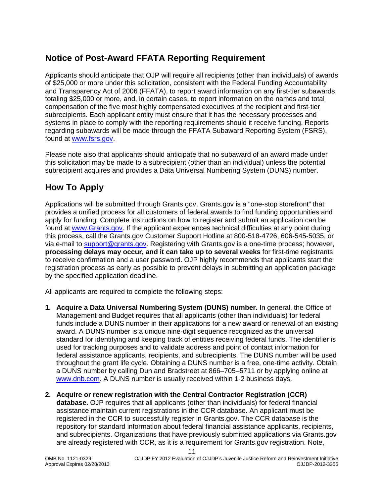# <span id="page-10-0"></span>**Notice of Post-Award FFATA Reporting Requirement**

Applicants should anticipate that OJP will require all recipients (other than individuals) of awards of \$25,000 or more under this solicitation, consistent with the Federal Funding Accountability and Transparency Act of 2006 (FFATA), to report award information on any first-tier subawards totaling \$25,000 or more, and, in certain cases, to report information on the names and total compensation of the five most highly compensated executives of the recipient and first-tier subrecipients. Each applicant entity must ensure that it has the necessary processes and systems in place to comply with the reporting requirements should it receive funding. Reports regarding subawards will be made through the FFATA Subaward Reporting System (FSRS), found at [www.fsrs.gov.](https://www.fsrs.gov/)

Please note also that applicants should anticipate that no subaward of an award made under this solicitation may be made to a subrecipient (other than an individual) unless the potential subrecipient acquires and provides a Data Universal Numbering System (DUNS) number.

# <span id="page-10-1"></span>**How To Apply**

Applications will be submitted through Grants.gov. Grants.gov is a "one-stop storefront" that provides a unified process for all customers of federal awards to find funding opportunities and apply for funding. Complete instructions on how to register and submit an application can be found at [www.Grants.gov.](http://www.grants.gov/) If the applicant experiences technical difficulties at any point during this process, call the Grants.gov Customer Support Hotline at 800-518-4726, 606-545-5035, or via e-mail to [support@grants.gov.](mailto:support@grants.gov) Registering with Grants.gov is a one-time process; however, **processing delays may occur, and it can take up to several weeks** for first-time registrants to receive confirmation and a user password. OJP highly recommends that applicants start the registration process as early as possible to prevent delays in submitting an application package by the specified application deadline.

All applicants are required to complete the following steps:

- **1. Acquire a Data Universal Numbering System (DUNS) number.** In general, the Office of Management and Budget requires that all applicants (other than individuals) for federal funds include a DUNS number in their applications for a new award or renewal of an existing award. A DUNS number is a unique nine-digit sequence recognized as the universal standard for identifying and keeping track of entities receiving federal funds. The identifier is used for tracking purposes and to validate address and point of contact information for federal assistance applicants, recipients, and subrecipients. The DUNS number will be used throughout the grant life cycle. Obtaining a DUNS number is a free, one-time activity. Obtain a DUNS number by calling Dun and Bradstreet at 866–705–5711 or by applying online at [www.dnb.com.](http://www.dnb.com/) A DUNS number is usually received within 1-2 business days.
- **2. Acquire or renew registration with the Central Contractor Registration (CCR) database.** OJP requires that all applicants (other than individuals) for federal financial assistance maintain current registrations in the CCR database. An applicant must be registered in the CCR to successfully register in Grants.gov. The CCR database is the repository for standard information about federal financial assistance applicants, recipients, and subrecipients. Organizations that have previously submitted applications via Grants.gov are already registered with CCR, as it is a requirement for Grants.gov registration. Note,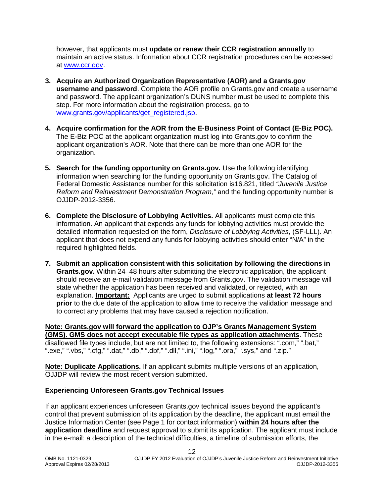however, that applicants must **update or renew their CCR registration annually** to maintain an active status. Information about CCR registration procedures can be accessed at [www.ccr.gov.](http://www.ccr.gov/)

- **3. Acquire an Authorized Organization Representative (AOR) and a Grants.gov username and password**. Complete the AOR profile on Grants.gov and create a username and password. The applicant organization's DUNS number must be used to complete this step. For more information about the registration process, go to [www.grants.gov/applicants/get\\_registered.jsp.](http://www.grants.gov/applicants/get_registered.jsp)
- **4. Acquire confirmation for the AOR from the E-Business Point of Contact (E-Biz POC).**  The E-Biz POC at the applicant organization must log into Grants.gov to confirm the applicant organization's AOR. Note that there can be more than one AOR for the organization.
- **5. Search for the funding opportunity on Grants.gov.** Use the following identifying information when searching for the funding opportunity on Grants.gov. The Catalog of Federal Domestic Assistance number for this solicitation is16.821, titled *"Juvenile Justice Reform and Reinvestment Demonstration Program,"* and the funding opportunity number is OJJDP-2012-3356.
- **6. Complete the Disclosure of Lobbying Activities.** All applicants must complete this information. An applicant that expends any funds for lobbying activities must provide the detailed information requested on the form, *Disclosure of Lobbying Activities*, (SF-LLL). An applicant that does not expend any funds for lobbying activities should enter "N/A" in the required highlighted fields.
- **7. Submit an application consistent with this solicitation by following the directions in Grants.gov.** Within 24–48 hours after submitting the electronic application, the applicant should receive an e-mail validation message from Grants.gov. The validation message will state whether the application has been received and validated, or rejected, with an explanation. **Important:** Applicants are urged to submit applications **at least 72 hours prior** to the due date of the application to allow time to receive the validation message and to correct any problems that may have caused a rejection notification.

**Note: Grants.gov will forward the application to OJP's Grants Management System (GMS). GMS does not accept executable file types as application attachments**. These disallowed file types include, but are not limited to, the following extensions: ".com," ".bat," ".exe," ".vbs," ".cfg," ".dat," ".db," ".dbf," ".dll," ".ini," ".log," ".ora," ".sys," and ".zip."

**Note: Duplicate Applications.** If an applicant submits multiple versions of an application, OJJDP will review the most recent version submitted.

#### **Experiencing Unforeseen Grants.gov Technical Issues**

If an applicant experiences unforeseen Grants.gov technical issues beyond the applicant's control that prevent submission of its application by the deadline, the applicant must email the Justice Information Center (see Page 1 for contact information) **within 24 hours after the application deadline** and request approval to submit its application. The applicant must include in the e-mail: a description of the technical difficulties, a timeline of submission efforts, the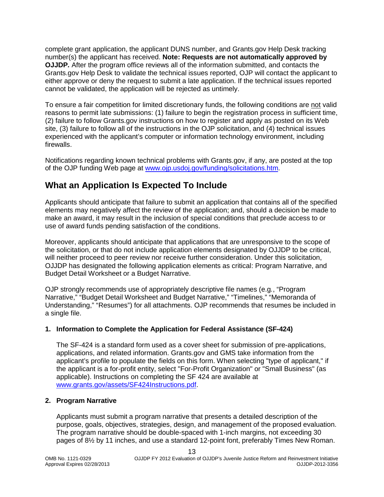complete grant application, the applicant DUNS number, and Grants.gov Help Desk tracking number(s) the applicant has received. **Note: Requests are not automatically approved by OJJDP***.* After the program office reviews all of the information submitted, and contacts the Grants.gov Help Desk to validate the technical issues reported, OJP will contact the applicant to either approve or deny the request to submit a late application. If the technical issues reported cannot be validated, the application will be rejected as untimely.

To ensure a fair competition for limited discretionary funds, the following conditions are not valid reasons to permit late submissions: (1) failure to begin the registration process in sufficient time, (2) failure to follow Grants.gov instructions on how to register and apply as posted on its Web site, (3) failure to follow all of the instructions in the OJP solicitation, and (4) technical issues experienced with the applicant's computer or information technology environment, including firewalls.

Notifications regarding known technical problems with Grants.gov, if any, are posted at the top of the OJP funding Web page at [www.ojp.usdoj.gov/funding/solicitations.htm.](http://www.ojp.usdoj.gov/funding/solicitations.htm)

# <span id="page-12-0"></span>**What an Application Is Expected To Include**

Applicants should anticipate that failure to submit an application that contains all of the specified elements may negatively affect the review of the application; and, should a decision be made to make an award, it may result in the inclusion of special conditions that preclude access to or use of award funds pending satisfaction of the conditions.

Moreover, applicants should anticipate that applications that are unresponsive to the scope of the solicitation, or that do not include application elements designated by OJJDP to be critical, will neither proceed to peer review nor receive further consideration. Under this solicitation, OJJDP has designated the following application elements as critical: Program Narrative, and Budget Detail Worksheet or a Budget Narrative.

OJP strongly recommends use of appropriately descriptive file names (e.g*.*, "Program Narrative," "Budget Detail Worksheet and Budget Narrative," "Timelines," "Memoranda of Understanding," "Resumes") for all attachments. OJP recommends that resumes be included in a single file.

#### <span id="page-12-1"></span>**1. Information to Complete the Application for Federal Assistance (SF-424)**

The SF-424 is a standard form used as a cover sheet for submission of pre-applications, applications, and related information. Grants.gov and GMS take information from the applicant's profile to populate the fields on this form. When selecting "type of applicant," if the applicant is a for-profit entity, select "For-Profit Organization" or "Small Business" (as applicable). Instructions on completing the SF 424 are available at [www.grants.gov/assets/SF424Instructions.pdf.](http://www.grants.gov/assets/SF424Instructions.pdf)

#### <span id="page-12-2"></span>**2. Program Narrative**

Applicants must submit a program narrative that presents a detailed description of the purpose, goals, objectives, strategies, design, and management of the proposed evaluation. The program narrative should be double-spaced with 1-inch margins, not exceeding 30 pages of 8½ by 11 inches, and use a standard 12-point font, preferably Times New Roman.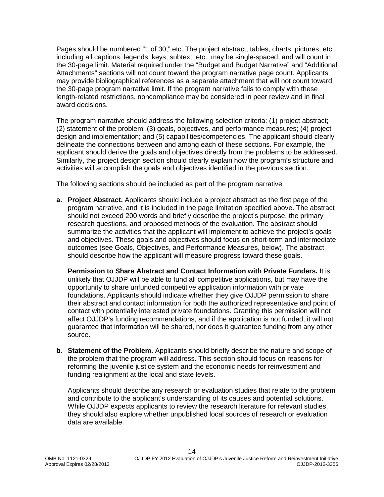Pages should be numbered "1 of 30," etc. The project abstract, tables, charts, pictures, etc., including all captions, legends, keys, subtext, etc., may be single-spaced, and will count in the 30-page limit. Material required under the "Budget and Budget Narrative" and "Additional Attachments" sections will not count toward the program narrative page count. Applicants may provide bibliographical references as a separate attachment that will not count toward the 30-page program narrative limit. If the program narrative fails to comply with these length-related restrictions, noncompliance may be considered in peer review and in final award decisions.

The program narrative should address the following selection criteria: (1) project abstract; (2) statement of the problem; (3) goals, objectives, and performance measures; (4) project design and implementation; and (5) capabilities/competencies. The applicant should clearly delineate the connections between and among each of these sections. For example, the applicant should derive the goals and objectives directly from the problems to be addressed. Similarly, the project design section should clearly explain how the program's structure and activities will accomplish the goals and objectives identified in the previous section.

The following sections should be included as part of the program narrative.

**a. Project Abstract.** Applicants should include a project abstract as the first page of the program narrative, and it is included in the page limitation specified above. The abstract should not exceed 200 words and briefly describe the project's purpose, the primary research questions, and proposed methods of the evaluation. The abstract should summarize the activities that the applicant will implement to achieve the project's goals and objectives. These goals and objectives should focus on short-term and intermediate outcomes (see Goals, Objectives, and Performance Measures, below). The abstract should describe how the applicant will measure progress toward these goals.

**Permission to Share Abstract and Contact Information with Private Funders.** It is unlikely that OJJDP will be able to fund all competitive applications, but may have the opportunity to share unfunded competitive application information with private foundations. Applicants should indicate whether they give OJJDP permission to share their abstract and contact information for both the authorized representative and point of contact with potentially interested private foundations. Granting this permission will not affect OJJDP's funding recommendations, and if the application is not funded, it will not guarantee that information will be shared, nor does it guarantee funding from any other source.

**b. Statement of the Problem.** Applicants should briefly describe the nature and scope of the problem that the program will address. This section should focus on reasons for reforming the juvenile justice system and the economic needs for reinvestment and funding realignment at the local and state levels.

Applicants should describe any research or evaluation studies that relate to the problem and contribute to the applicant's understanding of its causes and potential solutions. While OJJDP expects applicants to review the research literature for relevant studies, they should also explore whether unpublished local sources of research or evaluation data are available.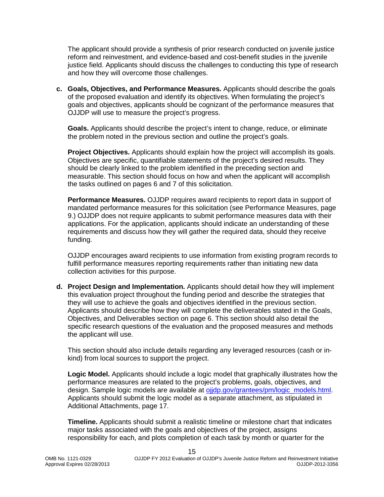The applicant should provide a synthesis of prior research conducted on juvenile justice reform and reinvestment, and evidence-based and cost-benefit studies in the juvenile justice field. Applicants should discuss the challenges to conducting this type of research and how they will overcome those challenges.

**c. Goals, Objectives, and Performance Measures.** Applicants should describe the goals of the proposed evaluation and identify its objectives. When formulating the project's goals and objectives, applicants should be cognizant of the performance measures that OJJDP will use to measure the project's progress.

**Goals.** Applicants should describe the project's intent to change, reduce, or eliminate the problem noted in the previous section and outline the project's goals.

**Project Objectives.** Applicants should explain how the project will accomplish its goals. Objectives are specific, quantifiable statements of the project's desired results. They should be clearly linked to the problem identified in the preceding section and measurable. This section should focus on how and when the applicant will accomplish the tasks outlined on pages 6 and 7 of this solicitation.

**Performance Measures.** OJJDP requires award recipients to report data in support of mandated performance measures for this solicitation (see Performance Measures, page 9.) OJJDP does not require applicants to submit performance measures data with their applications. For the application, applicants should indicate an understanding of these requirements and discuss how they will gather the required data, should they receive funding.

OJJDP encourages award recipients to use information from existing program records to fulfill performance measures reporting requirements rather than initiating new data collection activities for this purpose.

**d. Project Design and Implementation.** Applicants should detail how they will implement this evaluation project throughout the funding period and describe the strategies that they will use to achieve the goals and objectives identified in the previous section. Applicants should describe how they will complete the deliverables stated in the Goals, Objectives, and Deliverables section on page 6. This section should also detail the specific research questions of the evaluation and the proposed measures and methods the applicant will use.

This section should also include details regarding any leveraged resources (cash or inkind) from local sources to support the project.

**Logic Model.** Applicants should include a logic model that graphically illustrates how the performance measures are related to the project's problems, goals, objectives, and design. Sample logic models are available at [ojjdp.gov/grantees/pm/logic\\_models.html.](http://ojjdp.gov/grantees/pm/logic_models.html) Applicants should submit the logic model as a separate attachment, as stipulated in Additional Attachments, page 17.

**Timeline.** Applicants should submit a realistic timeline or milestone chart that indicates major tasks associated with the goals and objectives of the project, assigns responsibility for each, and plots completion of each task by month or quarter for the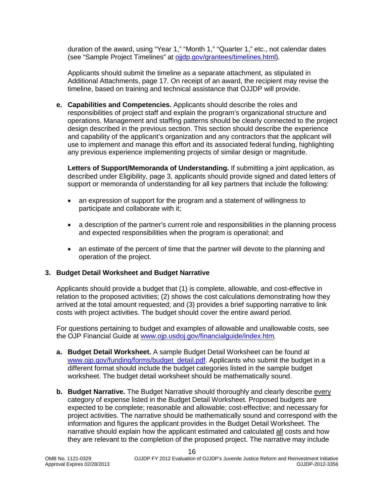duration of the award, using "Year 1," "Month 1," "Quarter 1," etc., not calendar dates (see "Sample Project Timelines" at [ojjdp.gov/grantees/timelines.html\)](http://ojjdp.gov/grantees/timelines.html).

Applicants should submit the timeline as a separate attachment, as stipulated in Additional Attachments, page 17. On receipt of an award, the recipient may revise the timeline, based on training and technical assistance that OJJDP will provide.

**e. Capabilities and Competencies.** Applicants should describe the roles and responsibilities of project staff and explain the program's organizational structure and operations. Management and staffing patterns should be clearly connected to the project design described in the previous section. This section should describe the experience and capability of the applicant's organization and any contractors that the applicant will use to implement and manage this effort and its associated federal funding, highlighting any previous experience implementing projects of similar design or magnitude.

**Letters of Support/Memoranda of Understanding.** If submitting a joint application, as described under Eligibility, page 3, applicants should provide signed and dated letters of support or memoranda of understanding for all key partners that include the following:

- an expression of support for the program and a statement of willingness to participate and collaborate with it;
- a description of the partner's current role and responsibilities in the planning process and expected responsibilities when the program is operational; and
- an estimate of the percent of time that the partner will devote to the planning and operation of the project.

#### <span id="page-15-0"></span>**3. Budget Detail Worksheet and Budget Narrative**

Applicants should provide a budget that (1) is complete, allowable, and cost-effective in relation to the proposed activities; (2) shows the cost calculations demonstrating how they arrived at the total amount requested; and (3) provides a brief supporting narrative to link costs with project activities. The budget should cover the entire award period.

For questions pertaining to budget and examples of allowable and unallowable costs, see the OJP Financial Guide at [www.ojp.usdoj.gov/financialguide/index.htm](http://www.ojp.usdoj.gov/financialguide/index.htm)*.*

- **a. Budget Detail Worksheet.** A sample Budget Detail Worksheet can be found at [www.ojp.gov/funding/forms/budget\\_detail.pdf.](http://www.ojp.gov/funding/forms/budget_detail.pdf) Applicants who submit the budget in a different format should include the budget categories listed in the sample budget worksheet. The budget detail worksheet should be mathematically sound.
- **b. Budget Narrative.** The Budget Narrative should thoroughly and clearly describe every category of expense listed in the Budget Detail Worksheet. Proposed budgets are expected to be complete; reasonable and allowable; cost-effective; and necessary for project activities. The narrative should be mathematically sound and correspond with the information and figures the applicant provides in the Budget Detail Worksheet. The narrative should explain how the applicant estimated and calculated all costs and how they are relevant to the completion of the proposed project. The narrative may include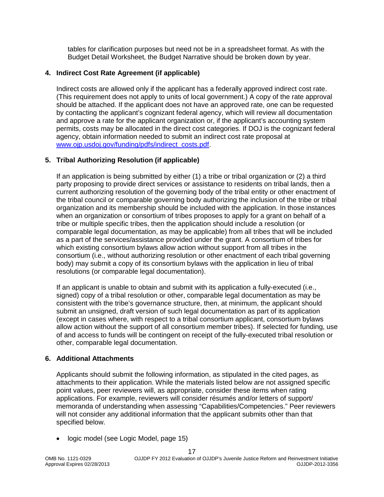tables for clarification purposes but need not be in a spreadsheet format. As with the Budget Detail Worksheet, the Budget Narrative should be broken down by year.

#### <span id="page-16-0"></span>**4. Indirect Cost Rate Agreement (if applicable)**

Indirect costs are allowed only if the applicant has a federally approved indirect cost rate. (This requirement does not apply to units of local government.) A copy of the rate approval should be attached. If the applicant does not have an approved rate, one can be requested by contacting the applicant's cognizant federal agency, which will review all documentation and approve a rate for the applicant organization or, if the applicant's accounting system permits, costs may be allocated in the direct cost categories. If DOJ is the cognizant federal agency, obtain information needed to submit an indirect cost rate proposal at [www.ojp.usdoj.gov/funding/pdfs/indirect\\_costs.pdf.](http://www.ojp.usdoj.gov/funding/pdfs/indirect_costs.pdf)

#### <span id="page-16-1"></span>**5. Tribal Authorizing Resolution (if applicable)**

If an application is being submitted by either (1) a tribe or tribal organization or (2) a third party proposing to provide direct services or assistance to residents on tribal lands, then a current authorizing resolution of the governing body of the tribal entity or other enactment of the tribal council or comparable governing body authorizing the inclusion of the tribe or tribal organization and its membership should be included with the application. In those instances when an organization or consortium of tribes proposes to apply for a grant on behalf of a tribe or multiple specific tribes, then the application should include a resolution (or comparable legal documentation, as may be applicable) from all tribes that will be included as a part of the services/assistance provided under the grant. A consortium of tribes for which existing consortium bylaws allow action without support from all tribes in the consortium (i.e., without authorizing resolution or other enactment of each tribal governing body) may submit a copy of its consortium bylaws with the application in lieu of tribal resolutions (or comparable legal documentation).

If an applicant is unable to obtain and submit with its application a fully-executed (i.e., signed) copy of a tribal resolution or other, comparable legal documentation as may be consistent with the tribe's governance structure, then, at minimum, the applicant should submit an unsigned, draft version of such legal documentation as part of its application (except in cases where, with respect to a tribal consortium applicant, consortium bylaws allow action without the support of all consortium member tribes). If selected for funding, use of and access to funds will be contingent on receipt of the fully-executed tribal resolution or other, comparable legal documentation.

#### <span id="page-16-2"></span>**6. Additional Attachments**

Applicants should submit the following information, as stipulated in the cited pages, as attachments to their application. While the materials listed below are not assigned specific point values, peer reviewers will, as appropriate, consider these items when rating applications. For example, reviewers will consider résumés and/or letters of support/ memoranda of understanding when assessing "Capabilities/Competencies." Peer reviewers will not consider any additional information that the applicant submits other than that specified below.

• logic model (see Logic Model, page 15)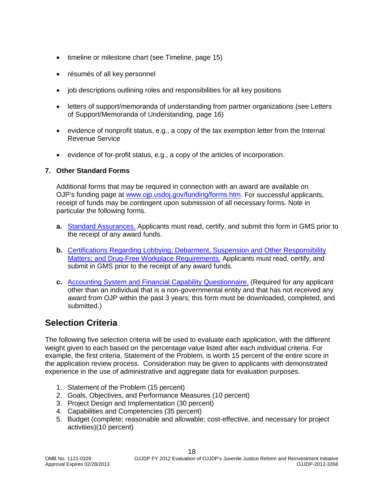- timeline or milestone chart (see Timeline, page 15)
- résumés of all key personnel
- job descriptions outlining roles and responsibilities for all key positions
- letters of support/memoranda of understanding from partner organizations (see Letters of Support/Memoranda of Understanding, page 16)
- evidence of nonprofit status, e.g., a copy of the tax exemption letter from the Internal Revenue Service
- evidence of for-profit status, e.g., a copy of the articles of incorporation.

#### <span id="page-17-0"></span>**7. Other Standard Forms**

Additional forms that may be required in connection with an award are available on OJP's funding page at [www.ojp.usdoj.gov/funding/forms.htm.](http://www.ojp.usdoj.gov/funding/forms.htm) For successful applicants, receipt of funds may be contingent upon submission of all necessary forms. Note in particular the following forms.

- **a.** [Standard Assurances.](http://www.ojp.usdoj.gov/funding/forms/std_assurances.pdf) Applicants must read, certify, and submit this form in GMS prior to the receipt of any award funds.
- **b.** [Certifications Regarding Lobbying; Debarment,](http://www.ojp.usdoj.gov/funding/forms/certifications.pdf) Suspension and Other Responsibility [Matters; and Drug-Free Workplace Requirements.](http://www.ojp.usdoj.gov/funding/forms/certifications.pdf) Applicants must read, certify, and submit in GMS prior to the receipt of any award funds.
- **c.** Accounting System [and Financial Capability Questionnaire.](http://www.ojp.usdoj.gov/funding/forms/financial_capability.pdf) (Required for any applicant other than an individual that is a non-governmental entity and that has not received any award from OJP within the past 3 years; this form must be downloaded, completed, and submitted.)

### <span id="page-17-1"></span>**Selection Criteria**

The following five selection criteria will be used to evaluate each application, with the different weight given to each based on the percentage value listed after each individual criteria. For example, the first criteria, Statement of the Problem, is worth 15 percent of the entire score in the application review process. Consideration may be given to applicants with demonstrated experience in the use of administrative and aggregate data for evaluation purposes.

- 1. Statement of the Problem (15 percent)
- 2. Goals, Objectives, and Performance Measures (10 percent)
- 3. Project Design and Implementation (30 percent)
- 4. Capabilities and Competencies (35 percent)
- 5. Budget (complete; reasonable and allowable; cost-effective, and necessary for project activities)(10 percent)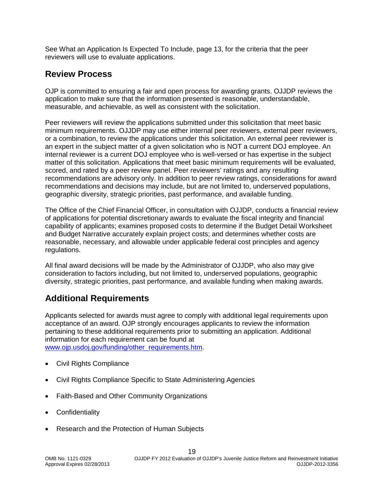See What an Application Is Expected To Include, page 13, for the criteria that the peer reviewers will use to evaluate applications.

# <span id="page-18-0"></span>**Review Process**

OJP is committed to ensuring a fair and open process for awarding grants. OJJDP reviews the application to make sure that the information presented is reasonable, understandable, measurable, and achievable, as well as consistent with the solicitation.

Peer reviewers will review the applications submitted under this solicitation that meet basic minimum requirements. OJJDP may use either internal peer reviewers, external peer reviewers, or a combination, to review the applications under this solicitation. An external peer reviewer is an expert in the subject matter of a given solicitation who is NOT a current DOJ employee. An internal reviewer is a current DOJ employee who is well-versed or has expertise in the subject matter of this solicitation. Applications that meet basic minimum requirements will be evaluated, scored, and rated by a peer review panel. Peer reviewers' ratings and any resulting recommendations are advisory only. In addition to peer review ratings, considerations for award recommendations and decisions may include, but are not limited to, underserved populations, geographic diversity, strategic priorities, past performance, and available funding.

The Office of the Chief Financial Officer, in consultation with OJJDP, conducts a financial review of applications for potential discretionary awards to evaluate the fiscal integrity and financial capability of applicants; examines proposed costs to determine if the Budget Detail Worksheet and Budget Narrative accurately explain project costs; and determines whether costs are reasonable, necessary, and allowable under applicable federal cost principles and agency regulations.

All final award decisions will be made by the Administrator of OJJDP, who also may give consideration to factors including, but not limited to, underserved populations, geographic diversity, strategic priorities, past performance, and available funding when making awards.

# <span id="page-18-1"></span>**Additional Requirements**

Applicants selected for awards must agree to comply with additional legal requirements upon acceptance of an award. OJP strongly encourages applicants to review the information pertaining to these additional requirements prior to submitting an application. Additional information for each requirement can be found at www.oip.usdoi.gov/funding/other\_requirements.htm.

- [Civil Rights Compliance](http://www.ojp.usdoj.gov/about/ocr/statutes.htm)
- Civil Rights Compliance Specific to State Administering Agencies
- Faith-Based and Other Community Organizations
- **Confidentiality**
- Research and the Protection of Human Subjects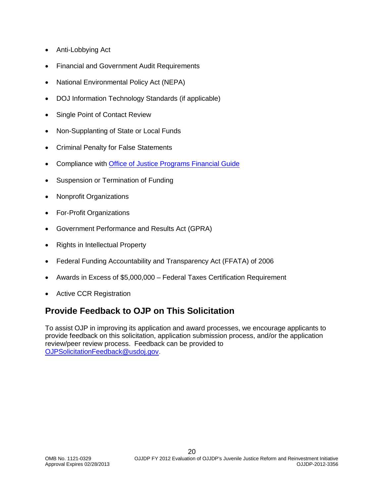- Anti-Lobbying Act
- Financial and Government Audit Requirements
- National Environmental Policy Act (NEPA)
- DOJ Information Technology Standards (if applicable)
- Single Point of Contact Review
- Non-Supplanting of State or Local Funds
- Criminal Penalty for False Statements
- Compliance with [Office of Justice Programs Financial Guide](http://www.ojp.usdoj.gov/financialguide/index.htm)
- Suspension or Termination of Funding
- Nonprofit Organizations
- For-Profit Organizations
- Government Performance and Results Act (GPRA)
- Rights in Intellectual Property
- Federal Funding Accountability and Transparency Act (FFATA) of 2006
- Awards in Excess of \$5,000,000 Federal Taxes Certification Requirement
- Active CCR Registration

# <span id="page-19-0"></span>**Provide Feedback to OJP on This Solicitation**

To assist OJP in improving its application and award processes, we encourage applicants to provide feedback on this solicitation, application submission process, and/or the application review/peer review process. Feedback can be provided to [OJPSolicitationFeedback@usdoj.gov.](mailto:OJPSolicitationFeedback@usdoj.gov)